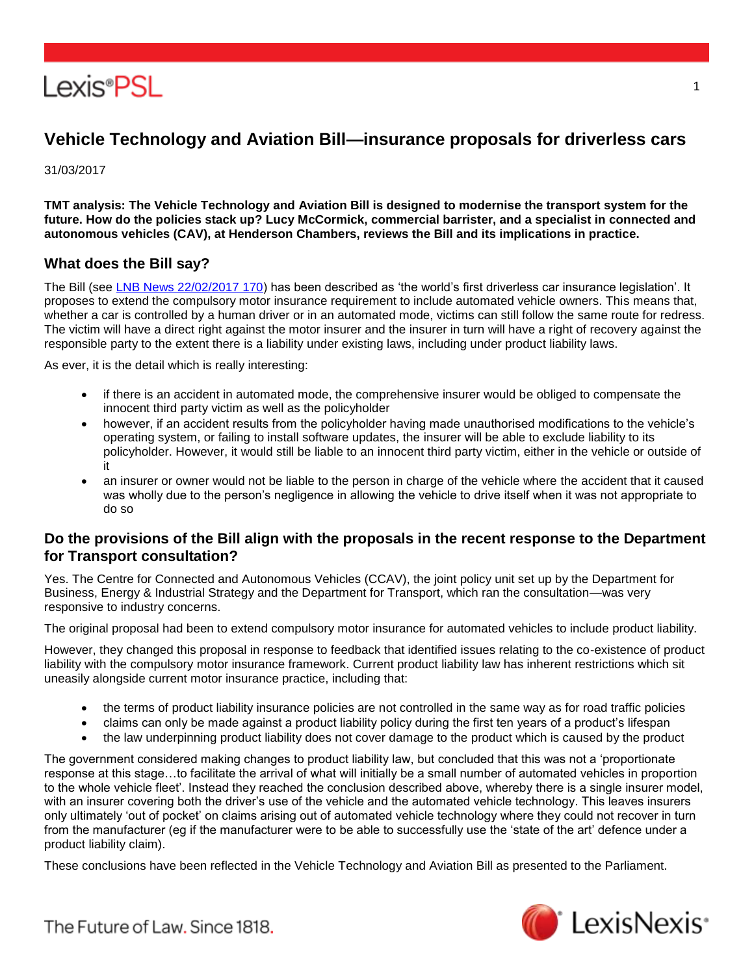

# **Vehicle Technology and Aviation Bill—insurance proposals for driverless cars**

31/03/2017

**TMT analysis: The Vehicle Technology and Aviation Bill is designed to modernise the transport system for the future. How do the policies stack up? Lucy McCormick, commercial barrister, and a specialist in connected and autonomous vehicles (CAV), at Henderson Chambers, reviews the Bill and its implications in practice.**

#### **What does the Bill say?**

The Bill (see [LNB News 22/02/2017 170\)](https://www.lexisnexis.com/uk/lexispsl/tmt/linkHandler.faces?ps=null&bct=A&homeCsi=412012&A=0.41814067588037696&urlEnc=ISO-8859-1&&remotekey1=DIGEST-CITATION(LNB%20News%2022/02/2017%20170)&remotekey2=All%20Subscribed%20Current%20Awareness%20Sources&dpsi=0S4D&cmd=f:exp&service=QUERY&origdpsi=0S4D) has been described as 'the world's first driverless car insurance legislation'. It proposes to extend the compulsory motor insurance requirement to include automated vehicle owners. This means that, whether a car is controlled by a human driver or in an automated mode, victims can still follow the same route for redress. The victim will have a direct right against the motor insurer and the insurer in turn will have a right of recovery against the responsible party to the extent there is a liability under existing laws, including under product liability laws.

As ever, it is the detail which is really interesting:

- if there is an accident in automated mode, the comprehensive insurer would be obliged to compensate the innocent third party victim as well as the policyholder
- however, if an accident results from the policyholder having made unauthorised modifications to the vehicle's operating system, or failing to install software updates, the insurer will be able to exclude liability to its policyholder. However, it would still be liable to an innocent third party victim, either in the vehicle or outside of it
- an insurer or owner would not be liable to the person in charge of the vehicle where the accident that it caused was wholly due to the person's negligence in allowing the vehicle to drive itself when it was not appropriate to do so

#### **Do the provisions of the Bill align with the proposals in the recent response to the Department for Transport consultation?**

Yes. The Centre for Connected and Autonomous Vehicles (CCAV), the joint policy unit set up by the Department for Business, Energy & Industrial Strategy and the Department for Transport, which ran the consultation—was very responsive to industry concerns.

The original proposal had been to extend compulsory motor insurance for automated vehicles to include product liability.

However, they changed this proposal in response to feedback that identified issues relating to the co-existence of product liability with the compulsory motor insurance framework. Current product liability law has inherent restrictions which sit uneasily alongside current motor insurance practice, including that:

- the terms of product liability insurance policies are not controlled in the same way as for road traffic policies
- claims can only be made against a product liability policy during the first ten years of a product's lifespan
- the law underpinning product liability does not cover damage to the product which is caused by the product

The government considered making changes to product liability law, but concluded that this was not a 'proportionate response at this stage…to facilitate the arrival of what will initially be a small number of automated vehicles in proportion to the whole vehicle fleet'. Instead they reached the conclusion described above, whereby there is a single insurer model, with an insurer covering both the driver's use of the vehicle and the automated vehicle technology. This leaves insurers only ultimately 'out of pocket' on claims arising out of automated vehicle technology where they could not recover in turn from the manufacturer (eg if the manufacturer were to be able to successfully use the 'state of the art' defence under a product liability claim).

These conclusions have been reflected in the Vehicle Technology and Aviation Bill as presented to the Parliament.



1

The Future of Law, Since 1818.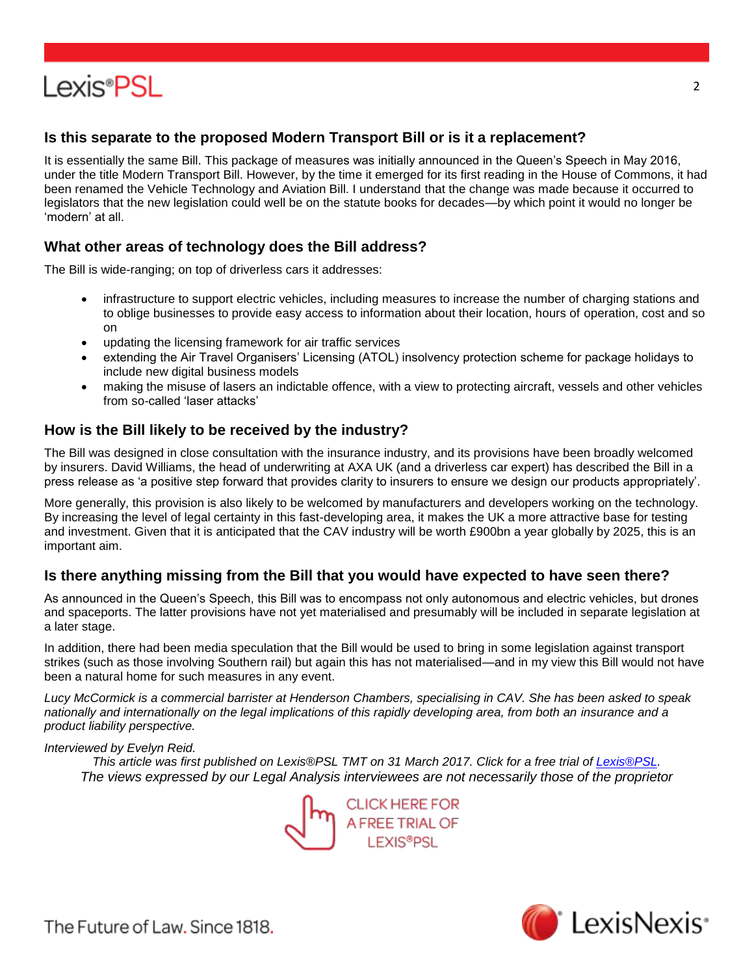# **Lexis®PSL**

## **Is this separate to the proposed Modern Transport Bill or is it a replacement?**

It is essentially the same Bill. This package of measures was initially announced in the Queen's Speech in May 2016, under the title Modern Transport Bill. However, by the time it emerged for its first reading in the House of Commons, it had been renamed the Vehicle Technology and Aviation Bill. I understand that the change was made because it occurred to legislators that the new legislation could well be on the statute books for decades—by which point it would no longer be 'modern' at all.

### **What other areas of technology does the Bill address?**

The Bill is wide-ranging; on top of driverless cars it addresses:

- infrastructure to support electric vehicles, including measures to increase the number of charging stations and to oblige businesses to provide easy access to information about their location, hours of operation, cost and so on
- updating the licensing framework for air traffic services
- extending the Air Travel Organisers' Licensing (ATOL) insolvency protection scheme for package holidays to include new digital business models
- making the misuse of lasers an indictable offence, with a view to protecting aircraft, vessels and other vehicles from so-called 'laser attacks'

### **How is the Bill likely to be received by the industry?**

The Bill was designed in close consultation with the insurance industry, and its provisions have been broadly welcomed by insurers. David Williams, the head of underwriting at AXA UK (and a driverless car expert) has described the Bill in a press release as 'a positive step forward that provides clarity to insurers to ensure we design our products appropriately'.

More generally, this provision is also likely to be welcomed by manufacturers and developers working on the technology. By increasing the level of legal certainty in this fast-developing area, it makes the UK a more attractive base for testing and investment. Given that it is anticipated that the CAV industry will be worth £900bn a year globally by 2025, this is an important aim.

### **Is there anything missing from the Bill that you would have expected to have seen there?**

As announced in the Queen's Speech, this Bill was to encompass not only autonomous and electric vehicles, but drones and spaceports. The latter provisions have not yet materialised and presumably will be included in separate legislation at a later stage.

In addition, there had been media speculation that the Bill would be used to bring in some legislation against transport strikes (such as those involving Southern rail) but again this has not materialised—and in my view this Bill would not have been a natural home for such measures in any event.

*Lucy McCormick is a commercial barrister at Henderson Chambers, specialising in CAV. She has been asked to speak nationally and internationally on the legal implications of this rapidly developing area, from both an insurance and a product liability perspective.*

#### *Interviewed by Evelyn Reid.*

*This article was first published on Lexis®PSL TMT on 31 March 2017. Click for a free trial of [Lexis®PSL.](http://www.lexisnexis.co.uk/en-uk/products/pslfreetrial.page) The views expressed by our Le[gal Analysis interviewees are not ne](http://www.lexisnexis.co.uk/en-uk/products/pslfreetrial.page)cessarily those of the proprietor*





The Future of Law, Since 1818.